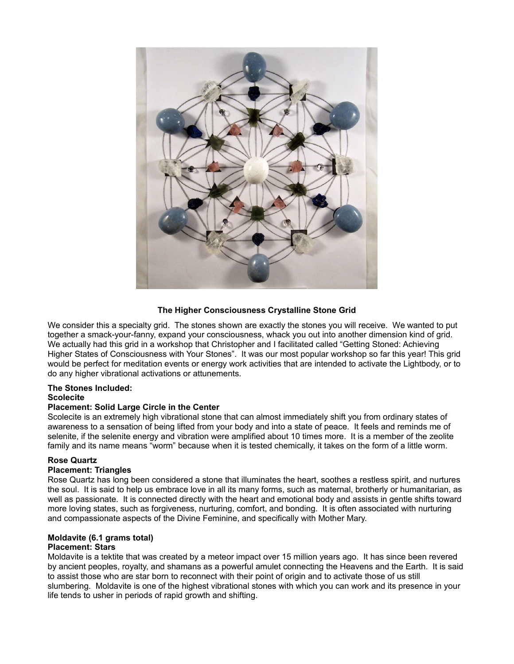

### **The Higher Consciousness Crystalline Stone Grid**

We consider this a specialty grid. The stones shown are exactly the stones you will receive. We wanted to put together a smack-your-fanny, expand your consciousness, whack you out into another dimension kind of grid. We actually had this grid in a workshop that Christopher and I facilitated called "Getting Stoned: Achieving Higher States of Consciousness with Your Stones". It was our most popular workshop so far this year! This grid would be perfect for meditation events or energy work activities that are intended to activate the Lightbody, or to do any higher vibrational activations or attunements.

# **The Stones Included:**

#### **Scolecite**

#### **Placement: Solid Large Circle in the Center**

Scolecite is an extremely high vibrational stone that can almost immediately shift you from ordinary states of awareness to a sensation of being lifted from your body and into a state of peace. It feels and reminds me of selenite, if the selenite energy and vibration were amplified about 10 times more. It is a member of the zeolite family and its name means "worm" because when it is tested chemically, it takes on the form of a little worm.

#### **Rose Quartz**

#### **Placement: Triangles**

Rose Quartz has long been considered a stone that illuminates the heart, soothes a restless spirit, and nurtures the soul. It is said to help us embrace love in all its many forms, such as maternal, brotherly or humanitarian, as well as passionate. It is connected directly with the heart and emotional body and assists in gentle shifts toward more loving states, such as forgiveness, nurturing, comfort, and bonding. It is often associated with nurturing and compassionate aspects of the Divine Feminine, and specifically with Mother Mary.

### **Moldavite (6.1 grams total)**

#### **Placement: Stars**

Moldavite is a tektite that was created by a meteor impact over 15 million years ago. It has since been revered by ancient peoples, royalty, and shamans as a powerful amulet connecting the Heavens and the Earth. It is said to assist those who are star born to reconnect with their point of origin and to activate those of us still slumbering. Moldavite is one of the highest vibrational stones with which you can work and its presence in your life tends to usher in periods of rapid growth and shifting.